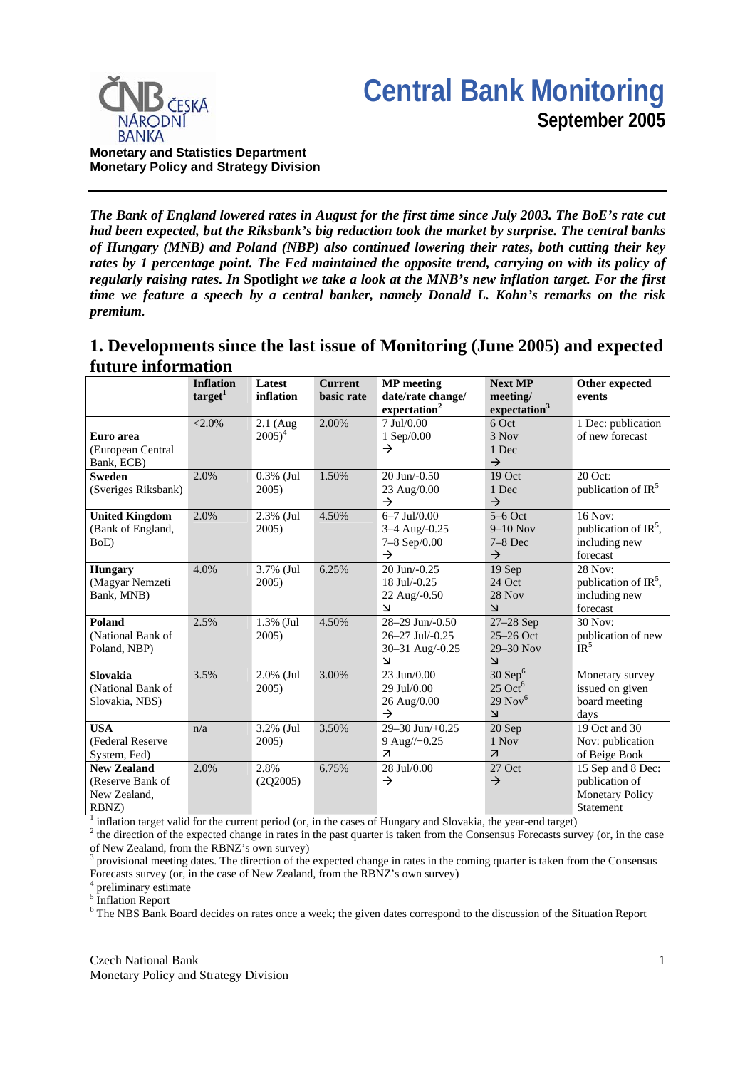



**Monetary and Statistics Department Monetary Policy and Strategy Division**

*The Bank of England lowered rates in August for the first time since July 2003. The BoE's rate cut had been expected, but the Riksbank's big reduction took the market by surprise. The central banks of Hungary (MNB) and Poland (NBP) also continued lowering their rates, both cutting their key rates by 1 percentage point. The Fed maintained the opposite trend, carrying on with its policy of regularly raising rates. In* **Spotlight** *we take a look at the MNB's new inflation target. For the first time we feature a speech by a central banker, namely Donald L. Kohn's remarks on the risk premium.*

## **1. Developments since the last issue of Monitoring (June 2005) and expected future information**

|                                                                 | <b>Inflation</b><br>$\text{target}^1$ | Latest<br>inflation      | <b>Current</b><br>basic rate | <b>MP</b> meeting<br>date/rate change/<br>expectation <sup>2</sup>                                                                           | <b>Next MP</b><br>meeting/<br>expectation <sup>3</sup>                                             | Other expected<br>events                                                   |
|-----------------------------------------------------------------|---------------------------------------|--------------------------|------------------------------|----------------------------------------------------------------------------------------------------------------------------------------------|----------------------------------------------------------------------------------------------------|----------------------------------------------------------------------------|
| Euro area<br>(European Central<br>Bank, ECB)                    | $< 2.0\%$                             | $2.1$ (Aug<br>$2005)^4$  | 2.00%                        | 7 Jul/0.00<br>1 Sep/0.00<br>$\rightarrow$                                                                                                    | 6 Oct<br>3 Nov<br>1 Dec<br>$\rightarrow$                                                           | 1 Dec: publication<br>of new forecast                                      |
| <b>Sweden</b><br>(Sveriges Riksbank)                            | 2.0%                                  | $0.3\%$ (Jul<br>2005)    | 1.50%                        | $20$ Jun $-0.50$<br>23 Aug/0.00<br>$\rightarrow$                                                                                             | 19 Oct<br>1 Dec<br>$\rightarrow$                                                                   | 20 Oct:<br>publication of IR <sup>5</sup>                                  |
| <b>United Kingdom</b><br>(Bank of England,<br>BoE)              | 2.0%                                  | 2.3% (Jul<br>2005)       | 4.50%                        | $6 - 7$ Jul/0.00<br>3-4 Aug/-0.25<br>7-8 Sep/0.00<br>$\rightarrow$                                                                           | $5-6$ Oct<br>$9-10$ Nov<br>$7-8$ Dec<br>$\rightarrow$                                              | 16 Nov:<br>publication of $IR^5$ ,<br>including new<br>forecast            |
| <b>Hungary</b><br>(Magyar Nemzeti<br>Bank, MNB)                 | 4.0%                                  | 3.7% (Jul<br>2005)       | 6.25%                        | 20 Jun/-0.25<br>18 Jul/-0.25<br>22 Aug/-0.50<br>$\overline{\mathsf{M}}$                                                                      | 19 Sep<br>24 Oct<br>28 Nov<br>$\overline{\mathsf{K}}$                                              | 28 Nov:<br>publication of $IR^5$ ,<br>including new<br>forecast            |
| Poland<br>(National Bank of<br>Poland, NBP)                     | 2.5%                                  | 1.3% (Jul<br>2005)       | 4.50%                        | 28-29 Jun/-0.50<br>26-27 Jul/-0.25<br>30-31 Aug/-0.25<br>$\overline{\mathbf{v}}$                                                             | 27-28 Sep<br>$25-26$ Oct<br>29-30 Nov<br>$\mathbf{z}$                                              | 30 Nov:<br>publication of new<br>$IR^5$                                    |
| <b>Slovakia</b><br>(National Bank of<br>Slovakia, NBS)          | 3.5%                                  | $2.0\%$ (Jul<br>$2005$ ) | 3.00%                        | 23 Jun/0.00<br>29 Jul/0.00<br>26 Aug/0.00<br>$\rightarrow$                                                                                   | $30$ Sep <sup>6</sup><br>$25$ Oct <sup>6</sup><br>$29$ Nov <sup>6</sup><br>$\overline{\mathsf{K}}$ | Monetary survey<br>issued on given<br>board meeting<br>days                |
| <b>USA</b><br>(Federal Reserve<br>System, Fed)                  | n/a                                   | 3.2% (Jul<br>$2005$ )    | 3.50%                        | 29-30 Jun/+0.25<br>$9$ Aug//+0.25<br>$\overline{\mathcal{A}}$                                                                                | 20 Sep<br>1 Nov<br>$\overline{\mathcal{A}}$                                                        | 19 Oct and 30<br>Nov: publication<br>of Beige Book                         |
| <b>New Zealand</b><br>(Reserve Bank of<br>New Zealand,<br>RBNZ) | 2.0%                                  | 2.8%<br>(2Q2005)         | 6.75%                        | 28 Jul/0.00<br>$\rightarrow$<br>inflation terget uplid for the ourrent period (or in the gases of Hungary and Cloughia, the year and terget) | 27 Oct<br>$\rightarrow$                                                                            | 15 Sep and 8 Dec:<br>publication of<br><b>Monetary Policy</b><br>Statement |

<sup>1</sup> inflation target valid for the current period (or, in the cases of Hungary and Slovakia, the year-end target)  $\frac{2}{3}$  the direction of the argeted change in rates in the perturbation from the Concensus Expects surf

<sup>2</sup> the direction of the expected change in rates in the past quarter is taken from the Consensus Forecasts survey (or, in the case of New Zealand, from the RBNZ's own survey)

3 provisional meeting dates. The direction of the expected change in rates in the coming quarter is taken from the Consensus Forecasts survey (or, in the case of New Zealand, from the RBNZ's own survey)

4 preliminary estimate

<sup>5</sup> Inflation Report

<sup>6</sup> The NBS Bank Board decides on rates once a week; the given dates correspond to the discussion of the Situation Report

Czech National Bank Monetary Policy and Strategy Division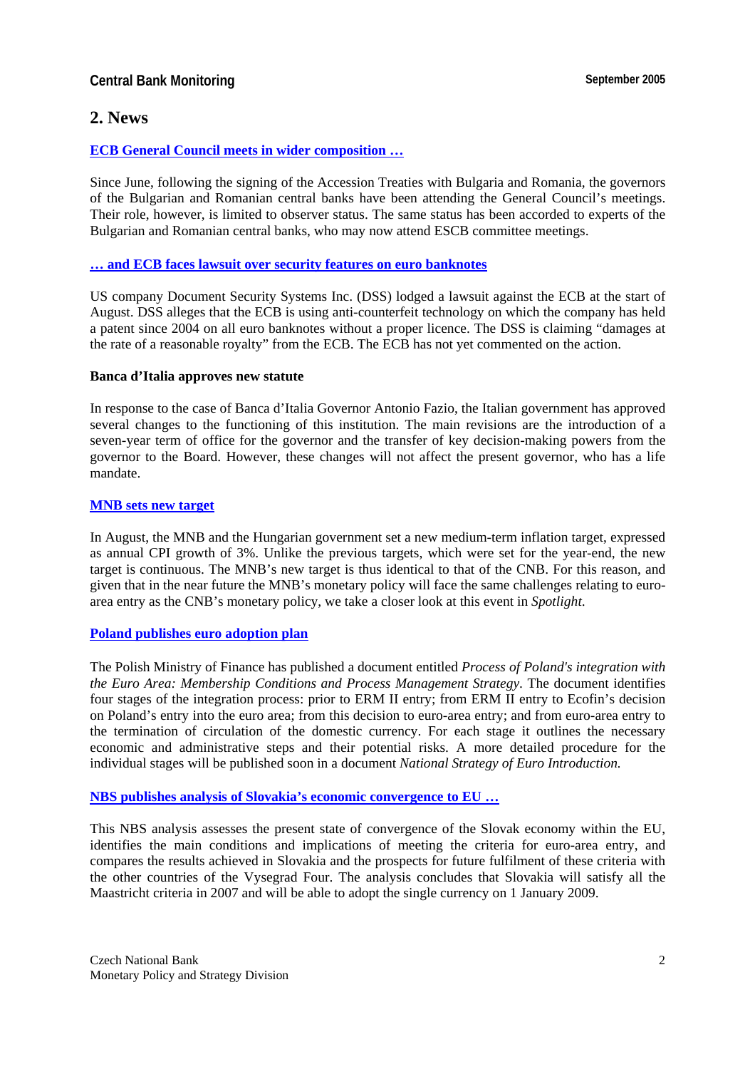## **Central Bank Monitoring September 2005**

## **2. News**

## **[ECB General Council meets in wider composition …](http://www.ecb.int/press/pr/date/2005/html/pr050616.en.html)**

Since June, following the signing of the Accession Treaties with Bulgaria and Romania, the governors of the Bulgarian and Romanian central banks have been attending the General Council's meetings. Their role, however, is limited to observer status. The same status has been accorded to experts of the Bulgarian and Romanian central banks, who may now attend ESCB committee meetings.

#### **[… and ECB faces lawsuit over security features on euro banknotes](http://www.prnewswire.co.uk/cgi/news/release?id=151086)**

US company Document Security Systems Inc. (DSS) lodged a lawsuit against the ECB at the start of August. DSS alleges that the ECB is using anti-counterfeit technology on which the company has held a patent since 2004 on all euro banknotes without a proper licence. The DSS is claiming "damages at the rate of a reasonable royalty" from the ECB. The ECB has not yet commented on the action.

#### **Banca d'Italia approves new statute**

In response to the case of Banca d'Italia Governor Antonio Fazio, the Italian government has approved several changes to the functioning of this institution. The main revisions are the introduction of a seven-year term of office for the governor and the transfer of key decision-making powers from the governor to the Board. However, these changes will not affect the present governor, who has a life mandate.

#### **[MNB sets new target](http://english.mnb.hu/Engine.aspx?page=mnben_monet_kozlem&ContentID=7161)**

In August, the MNB and the Hungarian government set a new medium-term inflation target, expressed as annual CPI growth of 3%. Unlike the previous targets, which were set for the year-end, the new target is continuous. The MNB's new target is thus identical to that of the CNB. For this reason, and given that in the near future the MNB's monetary policy will face the same challenges relating to euroarea entry as the CNB's monetary policy, we take a closer look at this event in *Spotlight*.

## **[Poland publishes euro adoption plan](http://www.mf.gov.pl/dokument.php?dzial=153&id=45968)**

The Polish Ministry of Finance has published a document entitled *Process of Poland's integration with the Euro Area: Membership Conditions and Process Management Strategy*. The document identifies four stages of the integration process: prior to ERM II entry; from ERM II entry to Ecofin's decision on Poland's entry into the euro area; from this decision to euro-area entry; and from euro-area entry to the termination of circulation of the domestic currency. For each stage it outlines the necessary economic and administrative steps and their potential risks. A more detailed procedure for the individual stages will be published soon in a document *National Strategy of Euro Introduction.* 

## **[NBS publishes analysis of Slovakia's economic convergence to EU …](http://www.nbs.sk/PUBLIK/KOL002.PDF)**

This NBS analysis assesses the present state of convergence of the Slovak economy within the EU, identifies the main conditions and implications of meeting the criteria for euro-area entry, and compares the results achieved in Slovakia and the prospects for future fulfilment of these criteria with the other countries of the Vysegrad Four. The analysis concludes that Slovakia will satisfy all the Maastricht criteria in 2007 and will be able to adopt the single currency on 1 January 2009.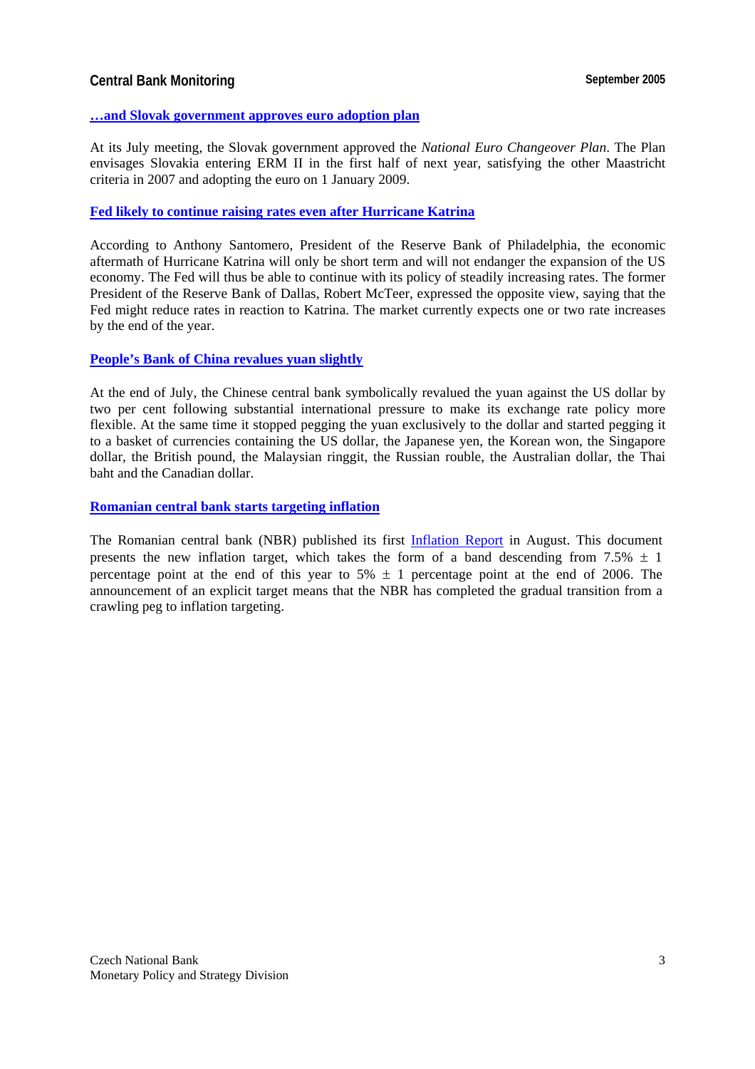## **Central Bank Monitoring September 2005**

#### **[…and Slovak government approves euro adoption plan](http://www.nbs.sk/PRESS/PR050707.HTM)**

At its July meeting, the Slovak government approved the *National Euro Changeover Plan*. The Plan envisages Slovakia entering ERM II in the first half of next year, satisfying the other Maastricht criteria in 2007 and adopting the euro on 1 January 2009.

#### **[Fed likely to continue raising rates even after Hurricane Katrina](http://www.philadelphiafed.org/publicaffairs/speeches/2005_santomero8.html)**

According to Anthony Santomero, President of the Reserve Bank of Philadelphia, the economic aftermath of Hurricane Katrina will only be short term and will not endanger the expansion of the US economy. The Fed will thus be able to continue with its policy of steadily increasing rates. The former President of the Reserve Bank of Dallas, Robert McTeer, expressed the opposite view, saying that the Fed might reduce rates in reaction to Katrina. The market currently expects one or two rate increases by the end of the year.

#### **[People's Bank of China revalues yuan slightly](http://www.pbc.gov.cn/english/detail.asp?col=6500&ID=82)**

At the end of July, the Chinese central bank symbolically revalued the yuan against the US dollar by two per cent following substantial international pressure to make its exchange rate policy more flexible. At the same time it stopped pegging the yuan exclusively to the dollar and started pegging it to a basket of currencies containing the US dollar, the Japanese yen, the Korean won, the Singapore dollar, the British pound, the Malaysian ringgit, the Russian rouble, the Australian dollar, the Thai baht and the Canadian dollar.

**[Romanian central bank starts targeting inflation](http://www.bnro.ro/En/Press/E20050808board.htm)**

The Romanian central bank (NBR) published its first [Inflation Report i](http://www.bnro.ro/En/Pubs/InflationReport/RAI200508Summary.pdf)n August. This document presents the new inflation target, which takes the form of a band descending from 7.5%  $\pm$  1 percentage point at the end of this year to  $5\% \pm 1$  percentage point at the end of 2006. The announcement of an explicit target means that the NBR has completed the gradual transition from a crawling peg to inflation targeting.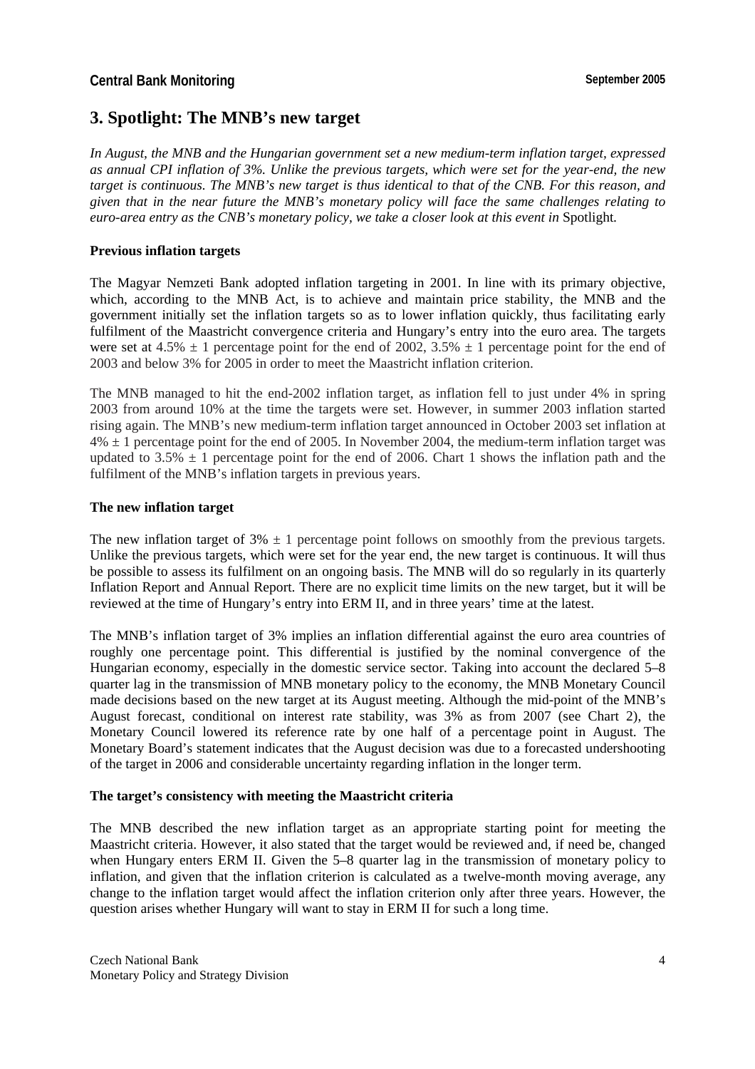# **3. Spotlight: The MNB's new target**

*In August, the MNB and the Hungarian government set a new medium-term inflation target, expressed as annual CPI inflation of 3%. Unlike the previous targets, which were set for the year-end, the new target is continuous. The MNB's new target is thus identical to that of the CNB. For this reason, and given that in the near future the MNB's monetary policy will face the same challenges relating to euro-area entry as the CNB's monetary policy, we take a closer look at this event in Spotlight.* 

## **Previous inflation targets**

The Magyar Nemzeti Bank adopted inflation targeting in 2001. In line with its primary objective, which, according to the MNB Act, is to achieve and maintain price stability, the MNB and the government initially set the inflation targets so as to lower inflation quickly, thus facilitating early fulfilment of the Maastricht convergence criteria and Hungary's entry into the euro area. The targets were set at 4.5%  $\pm$  1 percentage point for the end of 2002, 3.5%  $\pm$  1 percentage point for the end of 2003 and below 3% for 2005 in order to meet the Maastricht inflation criterion.

The MNB managed to hit the end-2002 inflation target, as inflation fell to just under 4% in spring 2003 from around 10% at the time the targets were set. However, in summer 2003 inflation started rising again. The MNB's new medium-term inflation target announced in October 2003 set inflation at  $4\% \pm 1$  percentage point for the end of 2005. In November 2004, the medium-term inflation target was updated to 3.5%  $\pm$  1 percentage point for the end of 2006. Chart 1 shows the inflation path and the fulfilment of the MNB's inflation targets in previous years.

## **The new inflation target**

The new inflation target of  $3\% \pm 1$  percentage point follows on smoothly from the previous targets. Unlike the previous targets, which were set for the year end, the new target is continuous. It will thus be possible to assess its fulfilment on an ongoing basis. The MNB will do so regularly in its quarterly Inflation Report and Annual Report. There are no explicit time limits on the new target, but it will be reviewed at the time of Hungary's entry into ERM II, and in three years' time at the latest.

The MNB's inflation target of 3% implies an inflation differential against the euro area countries of roughly one percentage point. This differential is justified by the nominal convergence of the Hungarian economy, especially in the domestic service sector. Taking into account the declared 5–8 quarter lag in the transmission of MNB monetary policy to the economy, the MNB Monetary Council made decisions based on the new target at its August meeting. Although the mid-point of the MNB's August forecast, conditional on interest rate stability, was 3% as from 2007 (see Chart 2), the Monetary Council lowered its reference rate by one half of a percentage point in August. The Monetary Board's statement indicates that the August decision was due to a forecasted undershooting of the target in 2006 and considerable uncertainty regarding inflation in the longer term.

## **The target's consistency with meeting the Maastricht criteria**

The MNB described the new inflation target as an appropriate starting point for meeting the Maastricht criteria. However, it also stated that the target would be reviewed and, if need be, changed when Hungary enters ERM II. Given the 5–8 quarter lag in the transmission of monetary policy to inflation, and given that the inflation criterion is calculated as a twelve-month moving average, any change to the inflation target would affect the inflation criterion only after three years. However, the question arises whether Hungary will want to stay in ERM II for such a long time.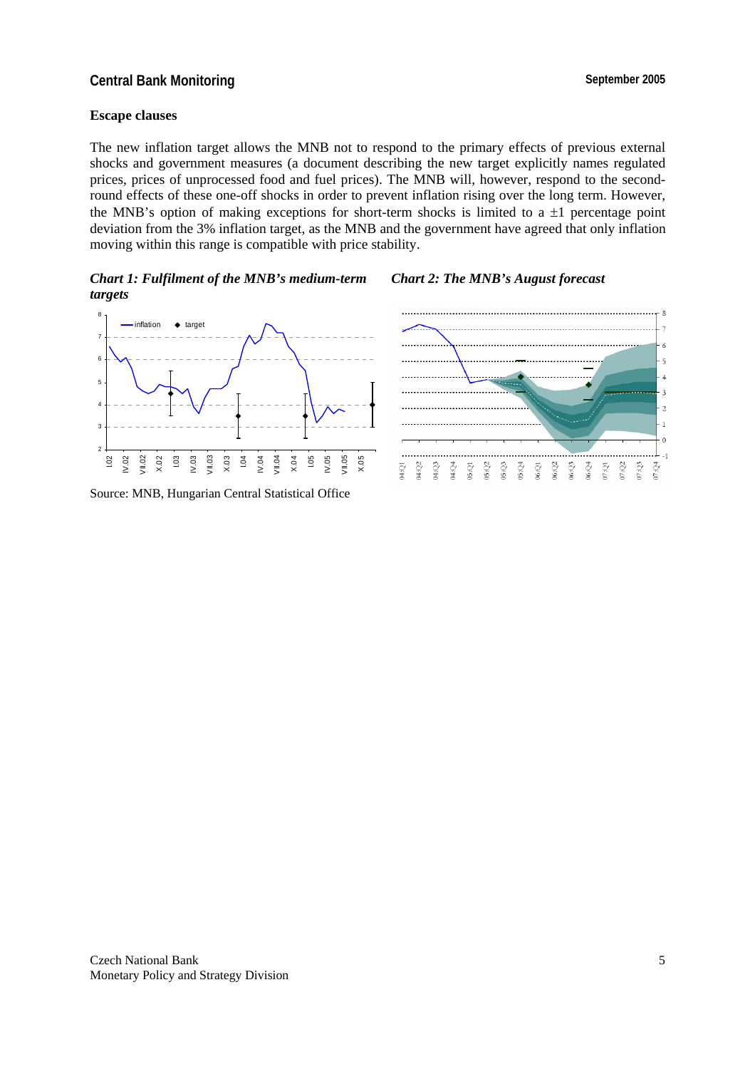## **Central Bank Monitoring Central Bank Monitoring September 2005**

#### **Escape clauses**

The new inflation target allows the MNB not to respond to the primary effects of previous external shocks and government measures (a document describing the new target explicitly names regulated prices, prices of unprocessed food and fuel prices). The MNB will, however, respond to the secondround effects of these one-off shocks in order to prevent inflation rising over the long term. However, the MNB's option of making exceptions for short-term shocks is limited to a  $\pm 1$  percentage point deviation from the 3% inflation target, as the MNB and the government have agreed that only inflation moving within this range is compatible with price stability.



#### Source: MNB, Hungarian Central Statistical Office

# *Chart 1: Fulfilment of the MNB's medium-term Chart 2: The MNB's August forecast*